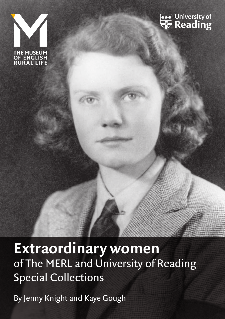



# **Extraordinary women**  of The MERL and University of Reading Special Collections

By Jenny Knight and Kaye Gough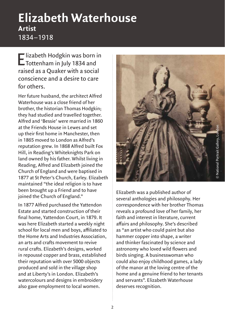## **Elizabeth Waterhouse Artist** 1834 –1918

Elizabeth Hodgkin was born in<br>Tottenham in July 1834 and raised as a Quaker with a social conscience and a desire to care for others.

Her future husband, the architect Alfred Waterhouse was a close friend of her brother, the historian Thomas Hodgkin; they had studied and travelled together. Alfred and 'Bessie' were married in 1860 at the Friends House in Lewes and set up their first home in Manchester, then in 1865 moved to London as Alfred's reputation grew. In 1868 Alfred built Fox Hill, in Reading's Whiteknights Park on land owned by his father. Whilst living in Reading, Alfred and Elizabeth joined the Church of England and were baptised in 1877 at St Peter's Church, Earley. Elizabeth maintained "the ideal religion is to have been brought up a Friend and to have joined the Church of England."

In 1877 Alfred purchased the Yattendon Estate and started construction of their final home, Yattendon Court, in 1879. It was here Elizabeth started a weekly night school for local men and boys, affiliated to the Home Arts and Industries Association, an arts and crafts movement to revive rural crafts. Elizabeth's designs, worked in repoussé copper and brass, established their reputation with over 5000 objects produced and sold in the village shop and at Liberty's in London. Elizabeth's watercolours and designs in embroidery also gave employment to local women.



Elizabeth was a published author of several anthologies and philosophy. Her correspondence with her brother Thomas reveals a profound love of her family, her faith and interest in literature, current affairs and philosophy. She's described as "an artist who could paint but also hammer copper into shape, a writer and thinker fascinated by science and astronomy who loved wild flowers and birds singing. A businesswoman who could also enjoy childhood games, a lady of the manor at the loving centre of the home and a genuine friend to her tenants and servants". Elizabeth Waterhouse deserves recognition.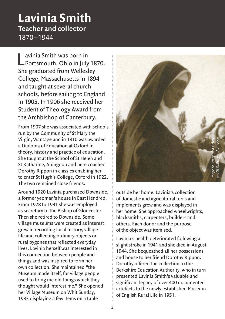#### **Lavinia Smith Teacher and collector** 1870 –1944

Lavinia Smith was born in<br>
Portsmouth, Ohio in July 1870. She graduated from Wellesley College, Massachusetts in 1894 and taught at several church schools, before sailing to England in 1905. In 1906 she received her Student of Theology Award from the Archbishop of Canterbury.

From 1907 she was associated with schools run by the Community of St Mary the Virgin, Wantage and in 1910 was awarded a Diploma of Education at Oxford in theory, history and practice of education. She taught at the School of St Helen and St Katharine, Abingdon and here coached Dorothy Rippon in classics enabling her to enter St Hugh's College, Oxford in 1922. The two remained close friends.

Around 1920 Lavinia purchased Downside, a former yeoman's house in East Hendred. From 1928 to 1931 she was employed as secretary to the Bishop of Gloucester. Then she retired to Downside. Some village museums were created as interest grew in recording local history, village life and collecting ordinary objects or rural bygones that reflected everyday lives. Lavinia herself was interested in this connection between people and things and was inspired to form her own collection. She maintained "the Museum made itself, for village people used to bring me old things which they thought would interest me." She opened her Village Museum on Whit Sunday, 1933 displaying a few items on a table



outside her home. Lavinia's collection of domestic and agricultural tools and implements grew and was displayed in her home. She approached wheelwrights, blacksmiths, carpenters, builders and others. Each donor and the purpose of the object was itemised.

Lavinia's health deteriorated following a slight stroke in 1941 and she died in August 1944. She bequeathed all her possessions and house to her friend Dorothy Rippon. Dorothy offered the collection to the Berkshire Education Authority, who in turn presented Lavinia Smith's valuable and significant legacy of over 400 documented artefacts to the newly established Museum of English Rural Life in 1951.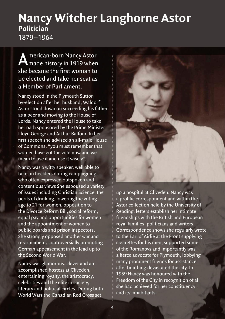#### **Nancy Witcher Langhorne Astor Politician** 1879 –1964

**A** merican-born Nancy Astor<br>Amade history in 1919 when she became the first woman to be elected and take her seat as a Member of Parliament.

Nancy stood in the Plymouth Sutton by-election after her husband, Waldorf Astor stood down on succeeding his father as a peer and moving to the House of Lords. Nancy entered the House to take her oath sponsored by the Prime Minister Lloyd George and Arthur Balfour. In her first speech she advised an all-male House of Commons, "you must remember that women have got the vote now and we mean to use it and use it wisely".

Nancy was a witty speaker, well able to take on hecklers during campaigning, who often expressed outspoken and contentious views She espoused a variety of issues including Christian Science, the perils of drinking, lowering the voting age to 21 for women, opposition to the Divorce Reform Bill, social reform, equal pay and opportunities for women and the appointment of women to public boards and prison inspectors. She strongly opposed another war and re-armament, controversially promoting German appeasement in the lead up to the Second World War.

Nancy was glamorous, clever and an accomplished hostess at Cliveden, entertaining royalty, the aristocracy, celebrities and the elite in society, literary and political circles. During both World Wars the Canadian Red Cross set



up a hospital at Cliveden. Nancy was a prolific correspondent and within the Astor collection held by the University of Reading, letters establish her intimate friendships with the British and European royal families, politicians and writers. Correspondence shows she regularly wrote to the Earl of Airlie at the Front supplying cigarettes for his men, supported some of the Romanovs and importantly was a fierce advocate for Plymouth, lobbying many prominent friends for assistance after bombing devastated the city. In 1959 Nancy was honoured with the Freedom of the City in recognition of all she had achieved for her constituency and its inhabitants.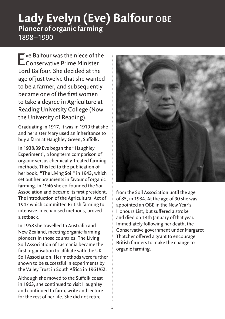#### **Lady Evelyn (Eve) Balfour obe Pioneer of organic farming** 1898 –1990

Eve Balfour was the niece of the Conservative Prime Minister Lord Balfour. She decided at the age of just twelve that she wanted to be a farmer, and subsequently became one of the first women to take a degree in Agriculture at Reading University College (Now the University of Reading).

Graduating in 1917, it was in 1919 that she and her sister Mary used an inheritance to buy a farm at Haughley Green, Suffolk.

In 1938/39 Eve began the "Haughley Experiment", a long term comparison of organic versus chemically-treated farming methods. This led to the publication of her book, "The Living Soil" in 1943, which set out her arguments in favour of organic farming. In 1946 she co-founded the Soil Association and became its first president. The introduction of the Agricultural Act of 1947 which committed British farming to intensive, mechanised methods, proved a setback.

In 1958 she travelled to Australia and New Zealand, meeting organic farming pioneers in those countries. The Living Soil Association of Tasmania became the first organisation to affiliate with the UK Soil Association. Her methods were further shown to be successful in experiments by the Valley Trust in South Africa in 1961/62.

Although she moved to the Suffolk coast in 1963, she continued to visit Haughley and continued to farm, write and lecture for the rest of her life. She did not retire



from the Soil Association until the age of 85, in 1984. At the age of 90 she was appointed an OBE in the New Year's Honours List, but suffered a stroke and died on 14th January of that year. Immediately following her death, the Conservative government under Margaret Thatcher offered a grant to encourage British farmers to make the change to organic farming.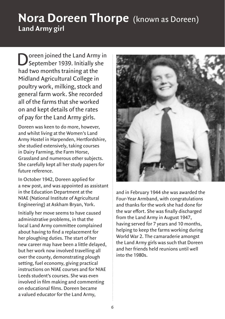## **Nora Doreen Thorpe** (known as Doreen) **Land Army girl**

Doreen joined the Land Army in<br>September 1939. Initially she had two months training at the Midland Agricultural College in poultry work, milking, stock and general farm work. She recorded all of the farms that she worked on and kept details of the rates of pay for the Land Army girls.

Doreen was keen to do more, however, and whilst living at the Women's Land Army Hostel in Harpenden, Hertfordshire, she studied extensively, taking courses in Dairy Farming, the Farm Horse, Grassland and numerous other subjects. She carefully kept all her study papers for future reference.

In October 1942, Doreen applied for a new post, and was appointed as assistant in the Education Department at the NIAE (National Institute of Agricultural Engineering) at Askham Bryan, York.

Initially her move seems to have caused administrative problems, in that the local Land Army committee complained about having to find a replacement for her ploughing duties. The start of her new career may have been a little delayed, but her work now involved travelling all over the county, demonstrating plough setting, fuel economy, giving practical instructions on NIAE courses and for NIAE Leeds student's courses. She was even involved in film making and commenting on educational films. Doreen became a valued educator for the Land Army,



and in February 1944 she was awarded the Four-Year Armband, with congratulations and thanks for the work she had done for the war effort. She was finally discharged from the Land Army in August 1947, having served for 7 years and 10 months, helping to keep the farms working during World War 2. The camaraderie amongst the Land Army girls was such that Doreen and her friends held reunions until well into the 1980s.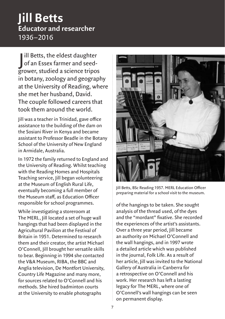### **Jill Betts Educator and researcher** 1936 –2016

J ill Betts, the eldest daughter of an Essex farmer and seedgrower, studied a science tripos in botany, zoology and geography at the University of Reading, where she met her husband, David. The couple followed careers that took them around the world.

Jill was a teacher in Trinidad, gave office assistance to the building of the dam on the Sosiani River in Kenya and became assistant to Professor Beadle in the Botany School of the University of New England in Armidale, Australia.

In 1972 the family returned to England and the University of Reading. Whilst teaching with the Reading Homes and Hospitals Teaching service, Jill began volunteering at the Museum of English Rural Life, eventually becoming a full member of the Museum staff, as Education Officer responsible for school programmes.

While investigating a storeroom at The MERL, Jill located a set of huge wall hangings that had been displayed in the Agricultural Pavilion at the Festival of Britain in 1951. Determined to research them and their creator, the artist Michael O'Connell, Jill brought her versatile skills to bear. Beginning in 1994 she contacted the V&A Museum, RIBA, the BBC and Anglia television, De Montfort University, Country Life Magazine and many more, for sources related to O'Connell and his methods. She hired badminton courts at the University to enable photographs



Jill Betts, BSc Reading 1957. MERL Education Officer preparing material for a school visit to the museum.

of the hangings to be taken. She sought analysis of the thread used, of the dyes and the "mordant" fixative. She recorded the experiences of the artist's assistants. Over a three year period, Jill became an authority on Michael O'Connell and the wall hangings, and in 1997 wrote a detailed article which was published in the journal, Folk Life. As a result of her article, Jill was invited to the National Gallery of Australia in Canberra for a retrospective on O'Connell and his work. Her research has left a lasting legacy for The MERL, where one of O'Connell's wall hangings can be seen on permanent display.